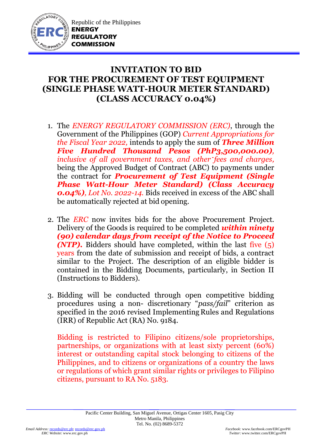

## **INVITATION TO BID FOR THE PROCUREMENT OF TEST EQUIPMENT (SINGLE PHASE WATT-HOUR METER STANDARD) (CLASS ACCURACY 0.04%)**

- 1. The *ENERGY REGULATORY COMMISSION (ERC)*, through the Government of the Philippines (GOP) *Current Appropriations for the Fiscal Year 2022,* intends to apply the sum of *Three Million Five Hundred Thousand Pesos (PhP3,500,000.00), inclusive of all government taxes, and other fees and charges,* being the Approved Budget of Contract (ABC) to payments under the contract for *Procurement of Test Equipment (Single Phase Watt-Hour Meter Standard) (Class Accuracy 0.04%), Lot No. 2022-14.* Bids received in excess of the ABC shall be automatically rejected at bid opening.
- 2. The *ERC* now invites bids for the above Procurement Project. Delivery of the Goods is required to be completed *within ninety (90) calendar days from receipt of the Notice to Proceed (NTP).* Bidders should have completed, within the last five (5) years from the date of submission and receipt of bids, a contract similar to the Project. The description of an eligible bidder is contained in the Bidding Documents, particularly, in Section II (Instructions to Bidders).
- 3. Bidding will be conducted through open competitive bidding procedures using a non- discretionary "*pass/fail*" criterion as specified in the 2016 revised Implementing Rules and Regulations (IRR) of Republic Act (RA) No. 9184.

Bidding is restricted to Filipino citizens/sole proprietorships, partnerships, or organizations with at least sixty percent (60%) interest or outstanding capital stock belonging to citizens of the Philippines, and to citizens or organizations of a country the laws or regulations of which grant similar rights or privileges to Filipino citizens, pursuant to RA No. 5183.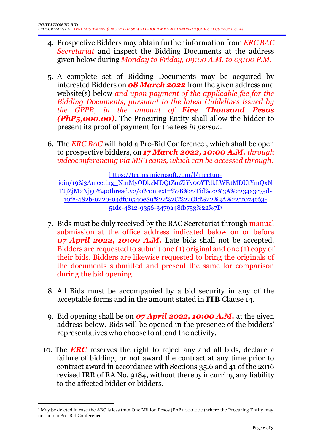- 4. Prospective Bidders may obtain further information from *ERC BAC Secretariat* and inspect the Bidding Documents at the address given below during *Monday to Friday, 09:00 A.M. to 03:00 P.M*.
- 5. A complete set of Bidding Documents may be acquired by interested Bidders on *08 March 2022* from the given address and website(s) below *and upon payment of the applicable fee for the Bidding Documents, pursuant to the latest Guidelines issued by the GPPB, in the amount of Five Thousand Pesos (PhP5,000.00)***.** The Procuring Entity shall allow the bidder to present its proof of payment for the fees *in person.*
- 6. The *ERC BAC* will hold a Pre-Bid Conference<sup>1</sup> , which shall be open to prospective bidders, on *17 March 2022, 10:00 A.M. through videoconferencing via MS Teams, which can be accessed through:*

[https://teams.microsoft.com/l/meetup](https://teams.microsoft.com/l/meetup-join/19%3Ameeting_NmMyODkzMDQtZmZiYy00YTdkLWE1MDUtYmQxNTJjZjM2Njg0%40thread.v2/0?context=%7B%22Tid%22%3A%2234a3c75d-10fe-482b-9220-04df09540e89%22%2C%22Oid%22%3A%225f074c63-51dc-4812-9356-3479a48fb753%22%7D)[join/19%3Ameeting\\_NmMyODkzMDQtZmZiYy00YTdkLWE1MDUtYmQxN](https://teams.microsoft.com/l/meetup-join/19%3Ameeting_NmMyODkzMDQtZmZiYy00YTdkLWE1MDUtYmQxNTJjZjM2Njg0%40thread.v2/0?context=%7B%22Tid%22%3A%2234a3c75d-10fe-482b-9220-04df09540e89%22%2C%22Oid%22%3A%225f074c63-51dc-4812-9356-3479a48fb753%22%7D) [TJjZjM2Njg0%40thread.v2/0?context=%7B%22Tid%22%3A%2234a3c75d-](https://teams.microsoft.com/l/meetup-join/19%3Ameeting_NmMyODkzMDQtZmZiYy00YTdkLWE1MDUtYmQxNTJjZjM2Njg0%40thread.v2/0?context=%7B%22Tid%22%3A%2234a3c75d-10fe-482b-9220-04df09540e89%22%2C%22Oid%22%3A%225f074c63-51dc-4812-9356-3479a48fb753%22%7D)[10fe-482b-9220-04df09540e89%22%2C%22Oid%22%3A%225f074c63-](https://teams.microsoft.com/l/meetup-join/19%3Ameeting_NmMyODkzMDQtZmZiYy00YTdkLWE1MDUtYmQxNTJjZjM2Njg0%40thread.v2/0?context=%7B%22Tid%22%3A%2234a3c75d-10fe-482b-9220-04df09540e89%22%2C%22Oid%22%3A%225f074c63-51dc-4812-9356-3479a48fb753%22%7D) [51dc-4812-9356-3479a48fb753%22%7D](https://teams.microsoft.com/l/meetup-join/19%3Ameeting_NmMyODkzMDQtZmZiYy00YTdkLWE1MDUtYmQxNTJjZjM2Njg0%40thread.v2/0?context=%7B%22Tid%22%3A%2234a3c75d-10fe-482b-9220-04df09540e89%22%2C%22Oid%22%3A%225f074c63-51dc-4812-9356-3479a48fb753%22%7D)

- 7. Bids must be duly received by the BAC Secretariat through manual submission at the office address indicated below on or before *07 April 2022, 10:00 A.M.* Late bids shall not be accepted. Bidders are requested to submit one (1) original and one (1) copy of their bids. Bidders are likewise requested to bring the originals of the documents submitted and present the same for comparison during the bid opening.
- 8. All Bids must be accompanied by a bid security in any of the acceptable forms and in the amount stated in **ITB** Clause 14.
- 9. Bid opening shall be on *07 April 2022, 10:00 A.M.* at the given address below. Bids will be opened in the presence of the bidders' representatives who choose to attend the activity.
- 10. The *ERC* reserves the right to reject any and all bids, declare a failure of bidding, or not award the contract at any time prior to contract award in accordance with Sections 35.6 and 41 of the 2016 revised IRR of RA No. 9184, without thereby incurring any liability to the affected bidder or bidders.

1

<sup>1</sup> May be deleted in case the ABC is less than One Million Pesos (PhP1,000,000) where the Procuring Entity may not hold a Pre-Bid Conference.